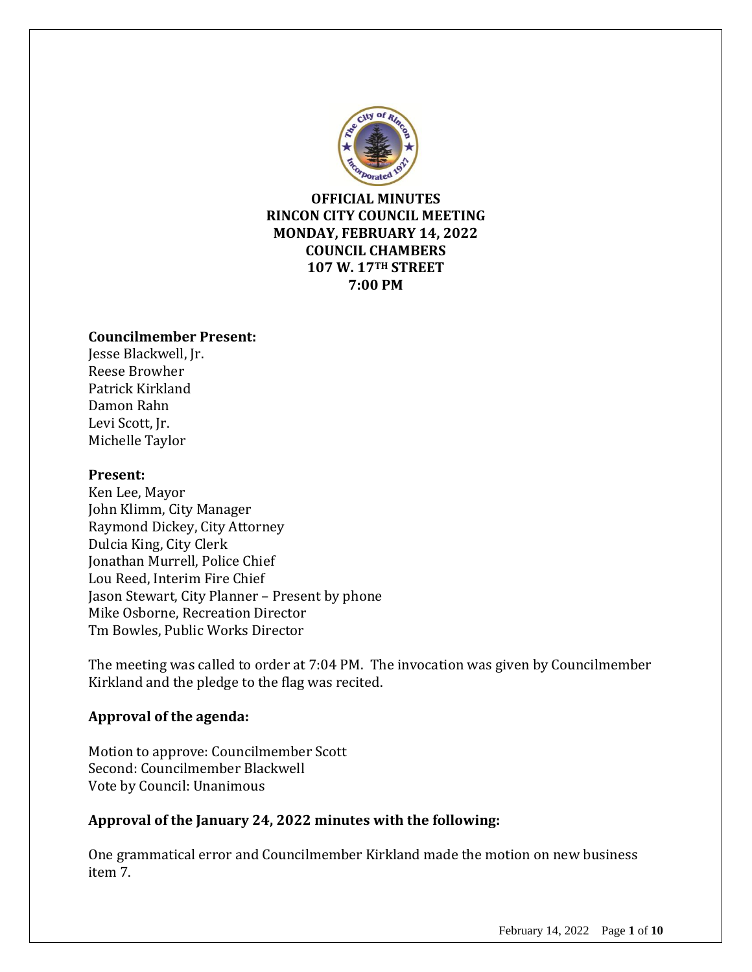

**OFFICIAL MINUTES RINCON CITY COUNCIL MEETING MONDAY, FEBRUARY 14, 2022 COUNCIL CHAMBERS 107 W. 17TH STREET 7:00 PM**

#### **Councilmember Present:**

Jesse Blackwell, Jr. Reese Browher Patrick Kirkland Damon Rahn Levi Scott, Jr. Michelle Taylor

#### **Present:**

Ken Lee, Mayor John Klimm, City Manager Raymond Dickey, City Attorney Dulcia King, City Clerk Jonathan Murrell, Police Chief Lou Reed, Interim Fire Chief Jason Stewart, City Planner – Present by phone Mike Osborne, Recreation Director Tm Bowles, Public Works Director

The meeting was called to order at 7:04 PM. The invocation was given by Councilmember Kirkland and the pledge to the flag was recited.

## **Approval of the agenda:**

Motion to approve: Councilmember Scott Second: Councilmember Blackwell Vote by Council: Unanimous

## **Approval of the January 24, 2022 minutes with the following:**

One grammatical error and Councilmember Kirkland made the motion on new business item 7.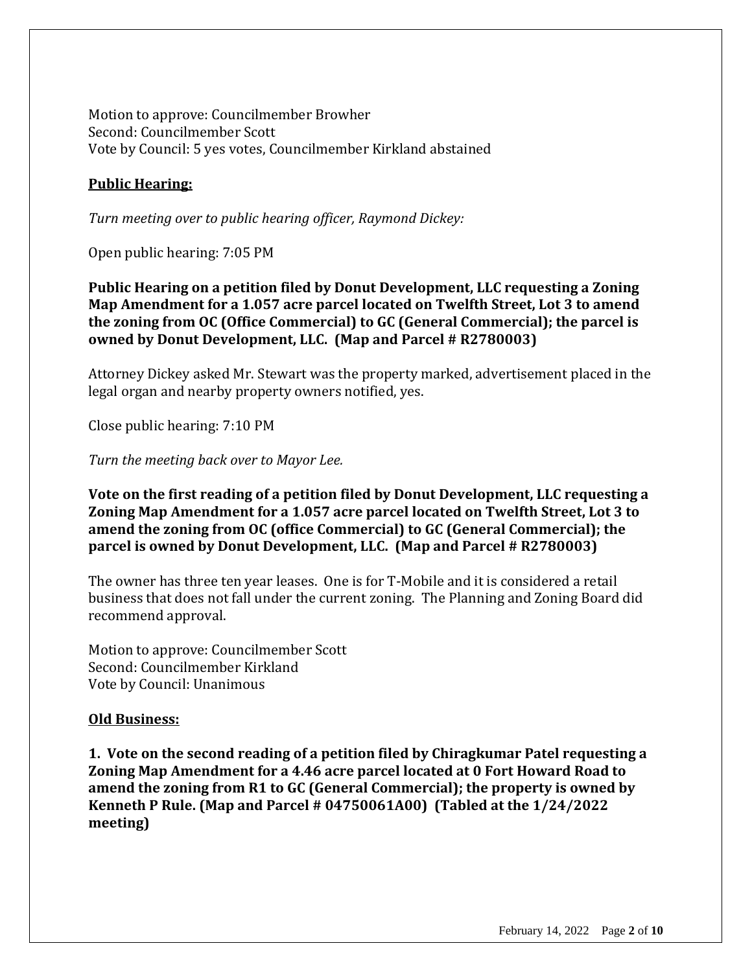Motion to approve: Councilmember Browher Second: Councilmember Scott Vote by Council: 5 yes votes, Councilmember Kirkland abstained

## **Public Hearing:**

*Turn meeting over to public hearing officer, Raymond Dickey:*

Open public hearing: 7:05 PM

**Public Hearing on a petition filed by Donut Development, LLC requesting a Zoning Map Amendment for a 1.057 acre parcel located on Twelfth Street, Lot 3 to amend the zoning from OC (Office Commercial) to GC (General Commercial); the parcel is owned by Donut Development, LLC. (Map and Parcel # R2780003)**

Attorney Dickey asked Mr. Stewart was the property marked, advertisement placed in the legal organ and nearby property owners notified, yes.

Close public hearing: 7:10 PM

*Turn the meeting back over to Mayor Lee.*

**Vote on the first reading of a petition filed by Donut Development, LLC requesting a Zoning Map Amendment for a 1.057 acre parcel located on Twelfth Street, Lot 3 to amend the zoning from OC (office Commercial) to GC (General Commercial); the parcel is owned by Donut Development, LLC. (Map and Parcel # R2780003)**

The owner has three ten year leases. One is for T-Mobile and it is considered a retail business that does not fall under the current zoning. The Planning and Zoning Board did recommend approval.

Motion to approve: Councilmember Scott Second: Councilmember Kirkland Vote by Council: Unanimous

#### **Old Business:**

**1. Vote on the second reading of a petition filed by Chiragkumar Patel requesting a Zoning Map Amendment for a 4.46 acre parcel located at 0 Fort Howard Road to amend the zoning from R1 to GC (General Commercial); the property is owned by Kenneth P Rule. (Map and Parcel # 04750061A00) (Tabled at the 1/24/2022 meeting)**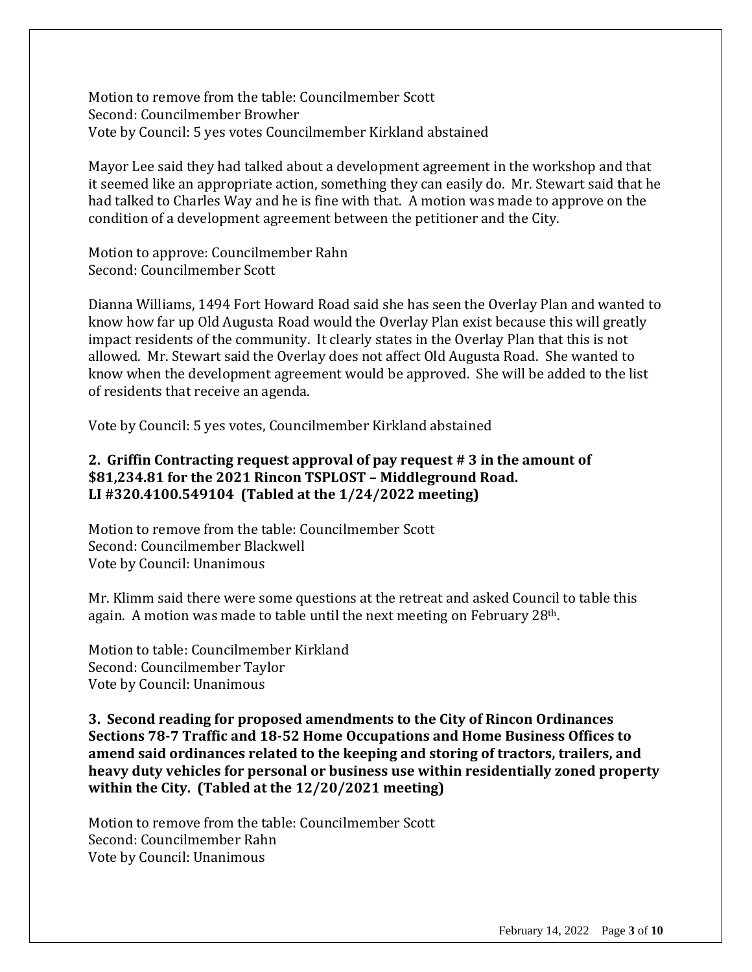Motion to remove from the table: Councilmember Scott Second: Councilmember Browher Vote by Council: 5 yes votes Councilmember Kirkland abstained

Mayor Lee said they had talked about a development agreement in the workshop and that it seemed like an appropriate action, something they can easily do. Mr. Stewart said that he had talked to Charles Way and he is fine with that. A motion was made to approve on the condition of a development agreement between the petitioner and the City.

Motion to approve: Councilmember Rahn Second: Councilmember Scott

Dianna Williams, 1494 Fort Howard Road said she has seen the Overlay Plan and wanted to know how far up Old Augusta Road would the Overlay Plan exist because this will greatly impact residents of the community. It clearly states in the Overlay Plan that this is not allowed. Mr. Stewart said the Overlay does not affect Old Augusta Road. She wanted to know when the development agreement would be approved. She will be added to the list of residents that receive an agenda.

Vote by Council: 5 yes votes, Councilmember Kirkland abstained

## **2. Griffin Contracting request approval of pay request # 3 in the amount of \$81,234.81 for the 2021 Rincon TSPLOST – Middleground Road. LI #320.4100.549104 (Tabled at the 1/24/2022 meeting)**

Motion to remove from the table: Councilmember Scott Second: Councilmember Blackwell Vote by Council: Unanimous

Mr. Klimm said there were some questions at the retreat and asked Council to table this again. A motion was made to table until the next meeting on February 28th.

Motion to table: Councilmember Kirkland Second: Councilmember Taylor Vote by Council: Unanimous

**3. Second reading for proposed amendments to the City of Rincon Ordinances Sections 78-7 Traffic and 18-52 Home Occupations and Home Business Offices to amend said ordinances related to the keeping and storing of tractors, trailers, and heavy duty vehicles for personal or business use within residentially zoned property within the City. (Tabled at the 12/20/2021 meeting)**

Motion to remove from the table: Councilmember Scott Second: Councilmember Rahn Vote by Council: Unanimous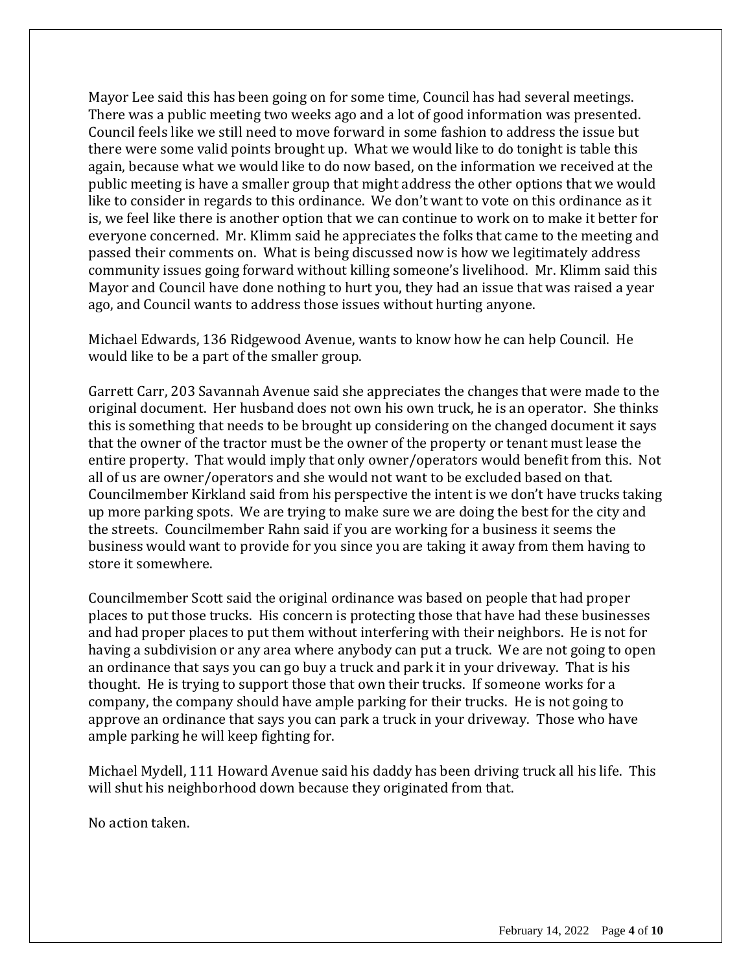Mayor Lee said this has been going on for some time, Council has had several meetings. There was a public meeting two weeks ago and a lot of good information was presented. Council feels like we still need to move forward in some fashion to address the issue but there were some valid points brought up. What we would like to do tonight is table this again, because what we would like to do now based, on the information we received at the public meeting is have a smaller group that might address the other options that we would like to consider in regards to this ordinance. We don't want to vote on this ordinance as it is, we feel like there is another option that we can continue to work on to make it better for everyone concerned. Mr. Klimm said he appreciates the folks that came to the meeting and passed their comments on. What is being discussed now is how we legitimately address community issues going forward without killing someone's livelihood. Mr. Klimm said this Mayor and Council have done nothing to hurt you, they had an issue that was raised a year ago, and Council wants to address those issues without hurting anyone.

Michael Edwards, 136 Ridgewood Avenue, wants to know how he can help Council. He would like to be a part of the smaller group.

Garrett Carr, 203 Savannah Avenue said she appreciates the changes that were made to the original document. Her husband does not own his own truck, he is an operator. She thinks this is something that needs to be brought up considering on the changed document it says that the owner of the tractor must be the owner of the property or tenant must lease the entire property. That would imply that only owner/operators would benefit from this. Not all of us are owner/operators and she would not want to be excluded based on that. Councilmember Kirkland said from his perspective the intent is we don't have trucks taking up more parking spots. We are trying to make sure we are doing the best for the city and the streets. Councilmember Rahn said if you are working for a business it seems the business would want to provide for you since you are taking it away from them having to store it somewhere.

Councilmember Scott said the original ordinance was based on people that had proper places to put those trucks. His concern is protecting those that have had these businesses and had proper places to put them without interfering with their neighbors. He is not for having a subdivision or any area where anybody can put a truck. We are not going to open an ordinance that says you can go buy a truck and park it in your driveway. That is his thought. He is trying to support those that own their trucks. If someone works for a company, the company should have ample parking for their trucks. He is not going to approve an ordinance that says you can park a truck in your driveway. Those who have ample parking he will keep fighting for.

Michael Mydell, 111 Howard Avenue said his daddy has been driving truck all his life. This will shut his neighborhood down because they originated from that.

No action taken.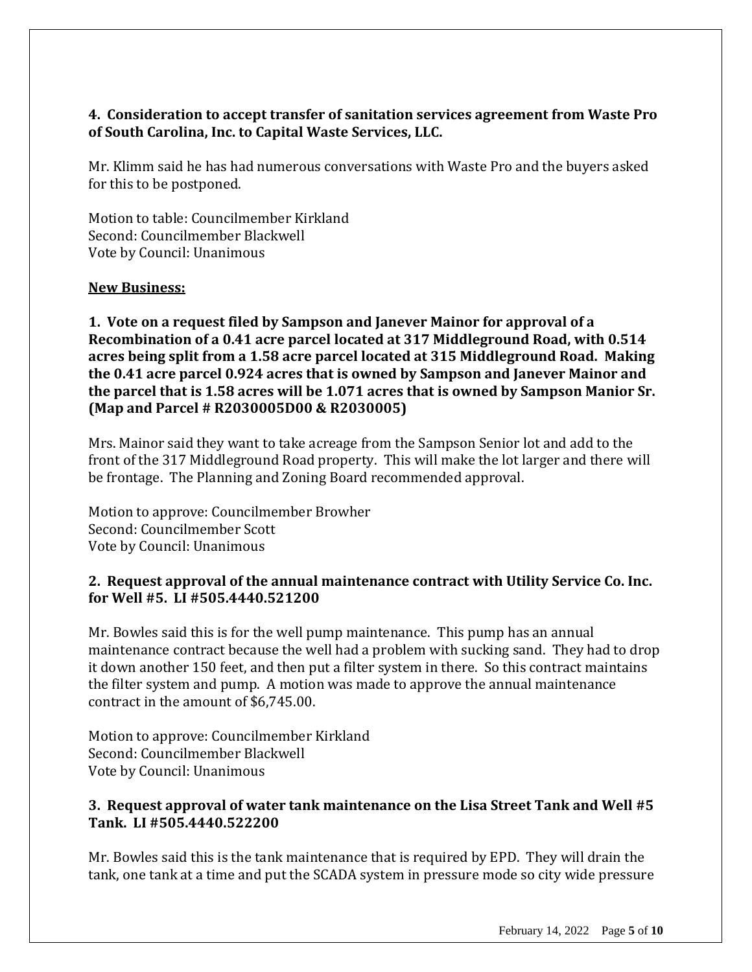## **4. Consideration to accept transfer of sanitation services agreement from Waste Pro of South Carolina, Inc. to Capital Waste Services, LLC.**

Mr. Klimm said he has had numerous conversations with Waste Pro and the buyers asked for this to be postponed.

Motion to table: Councilmember Kirkland Second: Councilmember Blackwell Vote by Council: Unanimous

#### **New Business:**

**1. Vote on a request filed by Sampson and Janever Mainor for approval of a Recombination of a 0.41 acre parcel located at 317 Middleground Road, with 0.514 acres being split from a 1.58 acre parcel located at 315 Middleground Road. Making the 0.41 acre parcel 0.924 acres that is owned by Sampson and Janever Mainor and the parcel that is 1.58 acres will be 1.071 acres that is owned by Sampson Manior Sr. (Map and Parcel # R2030005D00 & R2030005)**

Mrs. Mainor said they want to take acreage from the Sampson Senior lot and add to the front of the 317 Middleground Road property. This will make the lot larger and there will be frontage. The Planning and Zoning Board recommended approval.

Motion to approve: Councilmember Browher Second: Councilmember Scott Vote by Council: Unanimous

## **2. Request approval of the annual maintenance contract with Utility Service Co. Inc. for Well #5. LI #505.4440.521200**

Mr. Bowles said this is for the well pump maintenance. This pump has an annual maintenance contract because the well had a problem with sucking sand. They had to drop it down another 150 feet, and then put a filter system in there. So this contract maintains the filter system and pump. A motion was made to approve the annual maintenance contract in the amount of \$6,745.00.

Motion to approve: Councilmember Kirkland Second: Councilmember Blackwell Vote by Council: Unanimous

## **3. Request approval of water tank maintenance on the Lisa Street Tank and Well #5 Tank. LI #505.4440.522200**

Mr. Bowles said this is the tank maintenance that is required by EPD. They will drain the tank, one tank at a time and put the SCADA system in pressure mode so city wide pressure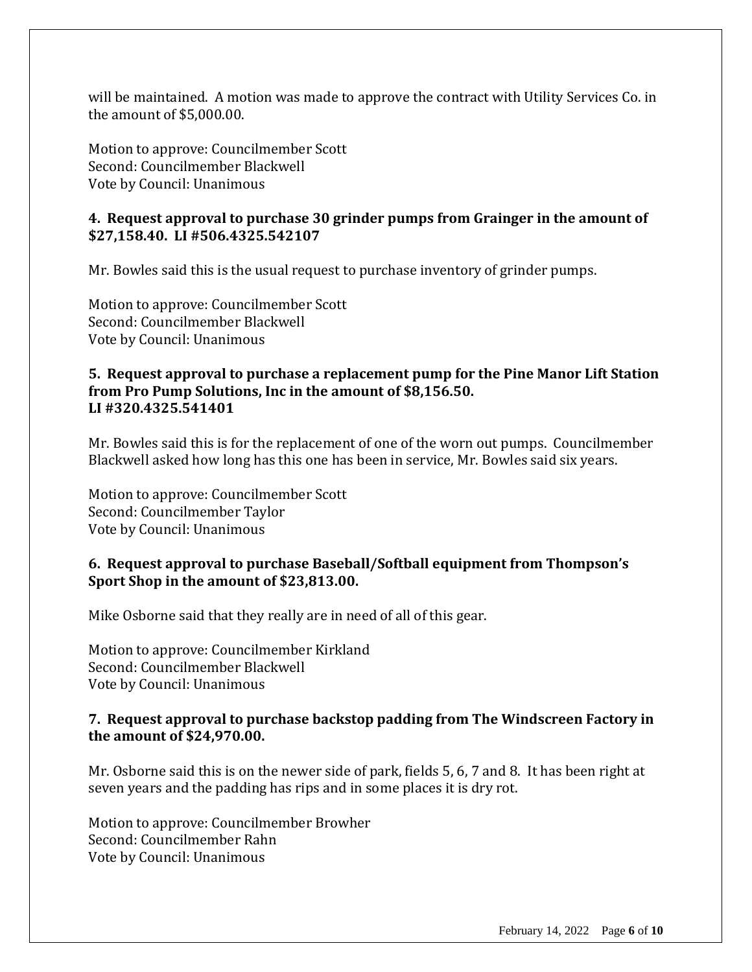will be maintained. A motion was made to approve the contract with Utility Services Co. in the amount of \$5,000.00.

Motion to approve: Councilmember Scott Second: Councilmember Blackwell Vote by Council: Unanimous

## **4. Request approval to purchase 30 grinder pumps from Grainger in the amount of \$27,158.40. LI #506.4325.542107**

Mr. Bowles said this is the usual request to purchase inventory of grinder pumps.

Motion to approve: Councilmember Scott Second: Councilmember Blackwell Vote by Council: Unanimous

## **5. Request approval to purchase a replacement pump for the Pine Manor Lift Station from Pro Pump Solutions, Inc in the amount of \$8,156.50. LI #320.4325.541401**

Mr. Bowles said this is for the replacement of one of the worn out pumps. Councilmember Blackwell asked how long has this one has been in service, Mr. Bowles said six years.

Motion to approve: Councilmember Scott Second: Councilmember Taylor Vote by Council: Unanimous

## **6. Request approval to purchase Baseball/Softball equipment from Thompson's Sport Shop in the amount of \$23,813.00.**

Mike Osborne said that they really are in need of all of this gear.

Motion to approve: Councilmember Kirkland Second: Councilmember Blackwell Vote by Council: Unanimous

#### **7. Request approval to purchase backstop padding from The Windscreen Factory in the amount of \$24,970.00.**

Mr. Osborne said this is on the newer side of park, fields 5, 6, 7 and 8. It has been right at seven years and the padding has rips and in some places it is dry rot.

Motion to approve: Councilmember Browher Second: Councilmember Rahn Vote by Council: Unanimous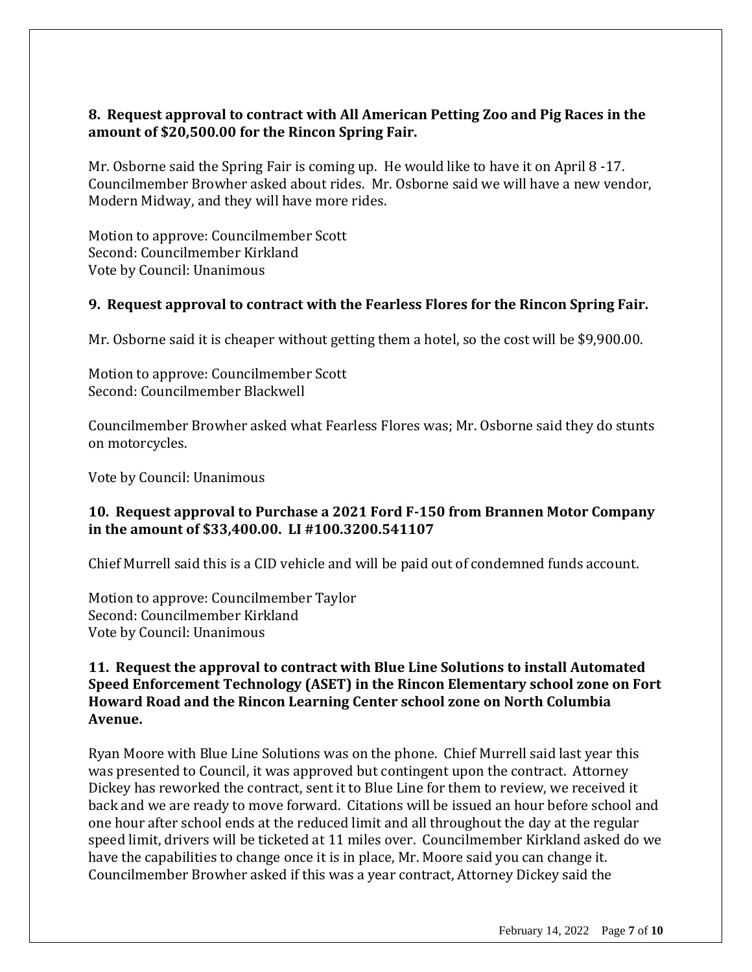## **8. Request approval to contract with All American Petting Zoo and Pig Races in the amount of \$20,500.00 for the Rincon Spring Fair.**

Mr. Osborne said the Spring Fair is coming up. He would like to have it on April 8 -17. Councilmember Browher asked about rides. Mr. Osborne said we will have a new vendor, Modern Midway, and they will have more rides.

Motion to approve: Councilmember Scott Second: Councilmember Kirkland Vote by Council: Unanimous

## **9. Request approval to contract with the Fearless Flores for the Rincon Spring Fair.**

Mr. Osborne said it is cheaper without getting them a hotel, so the cost will be \$9,900.00.

Motion to approve: Councilmember Scott Second: Councilmember Blackwell

Councilmember Browher asked what Fearless Flores was; Mr. Osborne said they do stunts on motorcycles.

Vote by Council: Unanimous

## **10. Request approval to Purchase a 2021 Ford F-150 from Brannen Motor Company in the amount of \$33,400.00. LI #100.3200.541107**

Chief Murrell said this is a CID vehicle and will be paid out of condemned funds account.

Motion to approve: Councilmember Taylor Second: Councilmember Kirkland Vote by Council: Unanimous

## **11. Request the approval to contract with Blue Line Solutions to install Automated Speed Enforcement Technology (ASET) in the Rincon Elementary school zone on Fort Howard Road and the Rincon Learning Center school zone on North Columbia Avenue.**

Ryan Moore with Blue Line Solutions was on the phone. Chief Murrell said last year this was presented to Council, it was approved but contingent upon the contract. Attorney Dickey has reworked the contract, sent it to Blue Line for them to review, we received it back and we are ready to move forward. Citations will be issued an hour before school and one hour after school ends at the reduced limit and all throughout the day at the regular speed limit, drivers will be ticketed at 11 miles over. Councilmember Kirkland asked do we have the capabilities to change once it is in place, Mr. Moore said you can change it. Councilmember Browher asked if this was a year contract, Attorney Dickey said the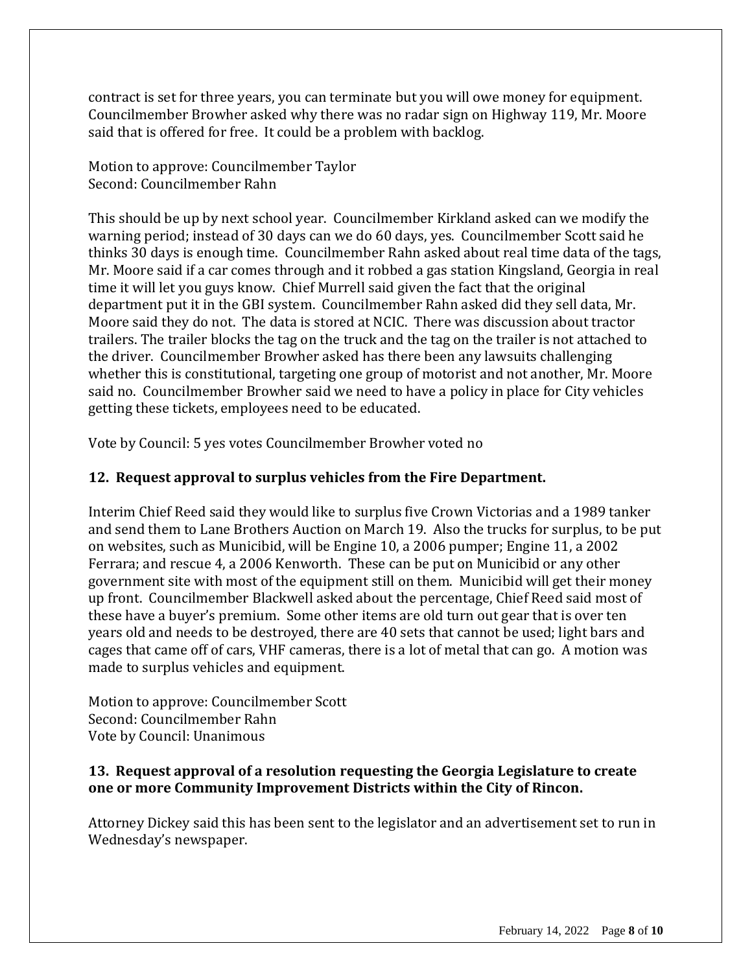contract is set for three years, you can terminate but you will owe money for equipment. Councilmember Browher asked why there was no radar sign on Highway 119, Mr. Moore said that is offered for free. It could be a problem with backlog.

Motion to approve: Councilmember Taylor Second: Councilmember Rahn

This should be up by next school year. Councilmember Kirkland asked can we modify the warning period; instead of 30 days can we do 60 days, yes. Councilmember Scott said he thinks 30 days is enough time. Councilmember Rahn asked about real time data of the tags, Mr. Moore said if a car comes through and it robbed a gas station Kingsland, Georgia in real time it will let you guys know. Chief Murrell said given the fact that the original department put it in the GBI system. Councilmember Rahn asked did they sell data, Mr. Moore said they do not. The data is stored at NCIC. There was discussion about tractor trailers. The trailer blocks the tag on the truck and the tag on the trailer is not attached to the driver. Councilmember Browher asked has there been any lawsuits challenging whether this is constitutional, targeting one group of motorist and not another, Mr. Moore said no. Councilmember Browher said we need to have a policy in place for City vehicles getting these tickets, employees need to be educated.

Vote by Council: 5 yes votes Councilmember Browher voted no

# **12. Request approval to surplus vehicles from the Fire Department.**

Interim Chief Reed said they would like to surplus five Crown Victorias and a 1989 tanker and send them to Lane Brothers Auction on March 19. Also the trucks for surplus, to be put on websites, such as Municibid, will be Engine 10, a 2006 pumper; Engine 11, a 2002 Ferrara; and rescue 4, a 2006 Kenworth. These can be put on Municibid or any other government site with most of the equipment still on them. Municibid will get their money up front. Councilmember Blackwell asked about the percentage, Chief Reed said most of these have a buyer's premium. Some other items are old turn out gear that is over ten years old and needs to be destroyed, there are 40 sets that cannot be used; light bars and cages that came off of cars, VHF cameras, there is a lot of metal that can go. A motion was made to surplus vehicles and equipment.

Motion to approve: Councilmember Scott Second: Councilmember Rahn Vote by Council: Unanimous

## **13. Request approval of a resolution requesting the Georgia Legislature to create one or more Community Improvement Districts within the City of Rincon.**

Attorney Dickey said this has been sent to the legislator and an advertisement set to run in Wednesday's newspaper.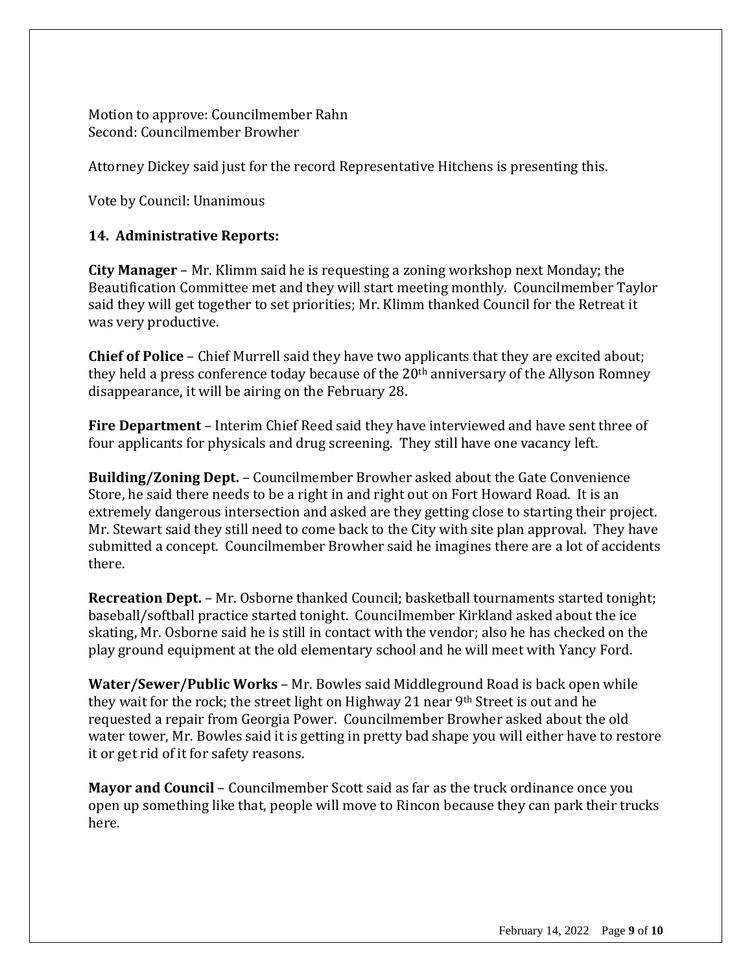Motion to approve: Councilmember Rahn Second: Councilmember Browher

Attorney Dickey said just for the record Representative Hitchens is presenting this.

Vote by Council: Unanimous

## **14. Administrative Reports:**

**City Manager** – Mr. Klimm said he is requesting a zoning workshop next Monday; the Beautification Committee met and they will start meeting monthly. Councilmember Taylor said they will get together to set priorities; Mr. Klimm thanked Council for the Retreat it was very productive.

**Chief of Police** – Chief Murrell said they have two applicants that they are excited about; they held a press conference today because of the 20<sup>th</sup> anniversary of the Allyson Romney disappearance, it will be airing on the February 28.

**Fire Department** – Interim Chief Reed said they have interviewed and have sent three of four applicants for physicals and drug screening. They still have one vacancy left.

**Building/Zoning Dept.** – Councilmember Browher asked about the Gate Convenience Store, he said there needs to be a right in and right out on Fort Howard Road. It is an extremely dangerous intersection and asked are they getting close to starting their project. Mr. Stewart said they still need to come back to the City with site plan approval. They have submitted a concept. Councilmember Browher said he imagines there are a lot of accidents there.

**Recreation Dept.** – Mr. Osborne thanked Council; basketball tournaments started tonight; baseball/softball practice started tonight. Councilmember Kirkland asked about the ice skating, Mr. Osborne said he is still in contact with the vendor; also he has checked on the play ground equipment at the old elementary school and he will meet with Yancy Ford.

**Water/Sewer/Public Works** – Mr. Bowles said Middleground Road is back open while they wait for the rock; the street light on Highway 21 near 9<sup>th</sup> Street is out and he requested a repair from Georgia Power. Councilmember Browher asked about the old water tower, Mr. Bowles said it is getting in pretty bad shape you will either have to restore it or get rid of it for safety reasons.

**Mayor and Council** – Councilmember Scott said as far as the truck ordinance once you open up something like that, people will move to Rincon because they can park their trucks here.